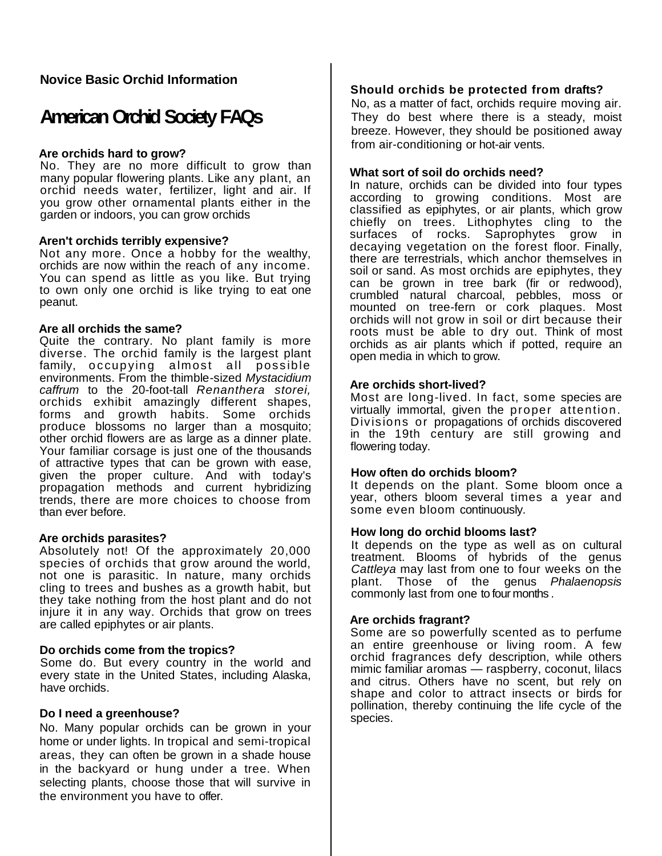## **Novice Basic Orchid Information**

# **American Orchid Society FAQs**

## **Are orchids hard to grow?**

No. They are no more difficult to grow than many popular flowering plants. Like any plant, an orchid needs water, fertilizer, light and air. If you grow other ornamental plants either in the garden or indoors, you can grow orchids

## **Aren't orchids terribly expensive?**

Not any more. Once a hobby for the wealthy, orchids are now within the reach of any income. You can spend as little as you like. But trying to own only one orchid is like trying to eat one peanut.

## **Are all orchids the same?**

Quite the contrary. No plant family is more diverse. The orchid family is the largest plant family, occupying almost all possible environments. From the thimble-sized *Mystacidium caffrum* to the 20-foot-tall *Renanthera storei,*  orchids exhibit amazingly different shapes, forms and growth habits. Some orchids produce blossoms no larger than a mosquito; other orchid flowers are as large as a dinner plate. Your familiar corsage is just one of the thousands of attractive types that can be grown with ease, given the proper culture. And with today's propagation methods and current hybridizing trends, there are more choices to choose from than ever before.

## **Are orchids parasites?**

Absolutely not! Of the approximately 20,000 species of orchids that grow around the world, not one is parasitic. In nature, many orchids cling to trees and bushes as a growth habit, but they take nothing from the host plant and do not injure it in any way. Orchids that grow on trees are called epiphytes or air plants.

## **Do orchids come from the tropics?**

Some do. But every country in the world and every state in the United States, including Alaska, have orchids.

## **Do I need a greenhouse?**

No. Many popular orchids can be grown in your home or under lights. In tropical and semi-tropical areas, they can often be grown in a shade house in the backyard or hung under a tree. When selecting plants, choose those that will survive in the environment you have to offer.

## **Should orchids be protected from drafts?**

No, as a matter of fact, orchids require moving air. They do best where there is a steady, moist breeze. However, they should be positioned away from air-conditioning or hot-air vents.

## **What sort of soil do orchids need?**

In nature, orchids can be divided into four types according to growing conditions. Most are classified as epiphytes, or air plants, which grow chiefly on trees. Lithophytes cling to the surfaces of rocks. Saprophytes grow in decaying vegetation on the forest floor. Finally, there are terrestrials, which anchor themselves in soil or sand. As most orchids are epiphytes, they can be grown in tree bark (fir or redwood), crumbled natural charcoal, pebbles, moss or mounted on tree-fern or cork plaques. Most orchids will not grow in soil or dirt because their roots must be able to dry out. Think of most orchids as air plants which if potted, require an open media in which to grow.

## **Are orchids short-lived?**

Most are long-lived. In fact, some species are virtually immortal, given the proper attention. Divisions or propagations of orchids discovered in the 19th century are still growing and flowering today.

## **How often do orchids bloom?**

It depends on the plant. Some bloom once a year, others bloom several times a year and some even bloom continuously.

## **How long do orchid blooms last?**

It depends on the type as well as on cultural treatment. Blooms of hybrids of the genus *Cattleya* may last from one to four weeks on the plant. Those of the genus *Phalaenopsis*  commonly last from one to four months .

## **Are orchids fragrant?**

Some are so powerfully scented as to perfume an entire greenhouse or living room. A few orchid fragrances defy description, while others mimic familiar aromas — raspberry, coconut, lilacs and citrus. Others have no scent, but rely on shape and color to attract insects or birds for pollination, thereby continuing the life cycle of the species.